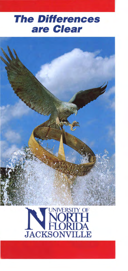# The Differences are Clear

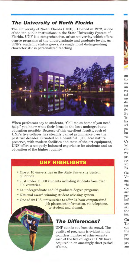### **The University of North Florida**

The University of North Florida (UNF)....Opened in 1972, is one of the ten public institutions in the State University System of Florida. UNF is a comprehensive, urban university which offers degree programs at the undergraduate and graduate levels. As UNF's academic status grows, its single most distinguishing characteristic is personalized teaching.



When professors say to students, "Call me at home if you need help," you know what their focus is: the best undergraduate education possible. Because of this excellent faculty, each of UNF's five colleges has steadily gained prominence over the past two decades. Situated on a beautiful 1,000 acre nature preserve, with modern facilities and state of the art equipment, UNF offers a uniquely balanced experience for students and an education of the highest quality.

# **UNF HIGHLIGHTS**

- One of 10 universities in the State University System of Florida
- Just under 11,000 students including students from over 100 countries.
- 44 undergraduate and 22 graduate degree programs.
- National award winning student advising system.
- One of six U.S. universities to offer 24-hour computerized job placement information, via telephone, to student and alumni.

# **The Differences?**

UNF stands out from the crowd. The quality of programs is evident in the countless number of achievements each of the five colleges at UNF have acquired in an amazingly short period of time.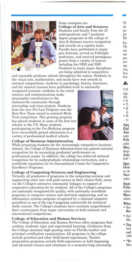

Some examples are: **College of Arts and Sciences**  Students and faculty from the 25 undergraduate and 7 graduate degree programs in the college of Arts & Sciences receive recognition and awards on a regular basis. Faculty have performed at major jazz festivals, served as Fulbright professors, and received prestigious grants from a variety of sources including the NEH and NSF. Students in many major disciplines are being admitted to competitive

and reputable graduate schools throughout the nation. Students in the visual arts, mathematics, and music have won awards in national competitions; students in psychology, history, literature, and the natural sciences have published work in nationally-

recognized journals; students in the social sciences and communications make meaningful contributions to the Jacksonville community through internships and class projects. Students from the new Pre-Law Program won the Best New Team award in national Mock Trial competition. This growing program has placed students in some of the best law schools in the US. Many students participating in the Pre-Medicine program have successfully gained admissions to a variety of professional medical schools.



#### **College of Business Administration**

While preparing students for the increasingly competitive business climate, the College of Business Administration has gained national recognition for its accounting graduates' performance on professional exams. In addition, the college has achieved national recognition for its undergraduate wholesaling curriculum, and a worldwide reputation for its International Center for Competitive Excellence Programs.

#### **College of Computing Sciences and Engineering**

Virtually all graduates of programs in the computing sciences and engineering enter into well-paid careers in their chosen field, many via the College's extensive community linkages in support of cooperative education for its students. All of the College's programs are nationally recognized for quality, with nationally accredited programs in computer science and electrical engineering, and an information systems program recognized by a national computer periodical as one of the top 6 programs nationwide for technical skills content. The College's students have routinely outperformed their counterparts from major universities in both national and international competitions.

#### **College of Education and Human Services**

The College of Education and Human Services offers programs that combine academic rigor and experiential learning. Graduates from the College maintain high passing rates on Florida teacher and principal certification examinations. All programs in the college include practical and other field-based experiences. Teacher preparation programs include field experiences in both beginning and advanced courses and culminate in a semester-long internship.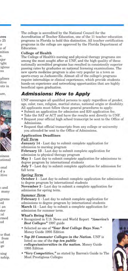The college is accredited by the National Council for the Accreditation of Teacher Education, one of the 11 teacher education programs in Florida to hold this distinction. All teacher certification programs **in** the college are approved by the Florida Department of Education.

#### **College of Health**

The College of Health's nursing and physical therapy programs are among the most sought after at UNF, and the high quality of these nationally accredited programs has resulted in consistently superior passing rates by graduates on national licensing examinations. The new sports medicine program is also very popular in a town as sports-crazy as Jacksonville. Almost all of the college's programs require internships or clinical experiences, which provide students hands-on experience and networking opportunities that are highly beneficial upon graduation.

### **Admissions: How to Apply**

UNF encourages all qualified persons to apply regardless of gender, age, color, race, religion, marital status, national origin or disability. All applicants must follow these general procedures to apply:

- Submit an application for admission and \$20 application fee.
- Take the SAT or ACT and have the results sent directly to UNF.
- Request your official high school transcript be sent to the Office of Admissions.
- Request that official transcripts from any college or university you attended be sent to the Office of Admissions.

### **Application Deadlines**

#### *Fall Term*

**January 14** - Last day to submit complete application for admission to nursing program

**February 13** - Last day to submit complete application for admission to physical therapy program

**May 1** - Last day to submit complete application for admissions to degree program by international students

**July 7** - Last day to submit complete application for admission for fall term

#### *Spring Term*

**October 1** - Last day to submit complete application for admissions to degree program by international students

**November 3** - Last day to submit a complete application for admission for spring term.

#### *Summer Term*

**February 1** - Last day to submit complete application for admissions to degree program by international students **March 11** - Last day to submit a complete application for admission for summer term.

### **What's Being Said**

- Recognized in U.S. News and World Report *"America's Best Colleges"* 1997 guide
- Selected as one of *"Your Best College Buys Now."*  Money Guide 1995 Edition
- *Top 20 Commuter Colleges in the Nation.* UNF is listed as one of the *top ten public colleges/universities in the nation.* Money Guide 1995 Edition
- *''Very Competitive,"* as stated by Barron's Guide to The Most Prestigious Colleges

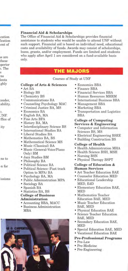### **Financial Aid** & **Scholarships**

The Office of Financial Aid & Scholarships provides financial assistance to students who would be unable to attend UNF without such support. Financial aid is based on individual need, educational costs and availability of funds. Awards may consist of scholarships, loans, grants, and/or employment. Funds are limited and students who apply after April 1 are considered on a fund-available basis only.

# **THE MAJORS**

Courses of Study at UNF

#### **College of Arts** & **Sciences**

- Art BA
- Biology BS
- Chemistry BS
- Communications BA
- Counseling Psychology MAC
- Criminal Justice BA, MS
- Economics BA
- English BA, MA
- Fine Arts BFA
- History BA, MA
- Interdisciplinary Science BS
- International Studies BA
- Liberal Studies BA
- Mathematics BA, BS
- Mathematical Science MS
- Music (Classical) BA
- Music (General-Voice/Piano Only) BM
- Jazz Studies BM
- Philosophy BA
- Political Science BA
- Political Science (Fast track Option to MPA) BA
- Psychology BA, MA
- Public Administration MPA
- Sociology BA
- Spanish BA
- Statistics BA, BS

#### **College of Business**

#### **Administration**

- Accounting BBA, MACC
- Business Administration MBA



- Economics BBA
- Finance BBA
- Financial Services BBA
- Human Resources **MHRM**
- International Business BBA
- Management BBA
- Marketing BBA
- Transportation and Logistics BBA

#### **College of Computing Services** & **Engineering**

- Computer and Information Sciences BS, MS
- Electrical Engineering BSEE
- Building Construction BS

#### **College of Health**

- Health Administration MHA
- Health Science BSH, MSH
- Nursing BSN
- Physical Therapy BSPT

#### **College of Education** & **Human Services**

- Art Teacher Education BAE
- Counselor Education MED
- Educational Leadership MED, EdD
- Elementary Education BAE, MED
- Mathematics Teacher Education BAE, MED
- Music Teacher Education BAE, MED
- Physical Education BAE
- Science Teacher Education BAE, MED
- Secondary Education BAE, MED
- Special Education BAE, MED
- Vocational Education BAE

#### **Pre-Professional Programs**

- Pre-Law
- Pre-Medicine
- Pre-Engineering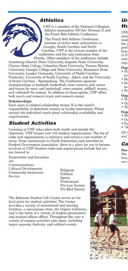### **Athletics**

UNF is a member of the National Collegiate Athletic Association (NCAA) Division II and the Peach Belt Athletic Conference.

The Peach Belt Athletic Conference consists of twelve state universities in Georgia, South Carolina and North Carolina. UNF is the newest member of the conference and the only institution from Florida. Other members of the conference include

Armstrong Atlantic State University, Augusta State University, Clayton State College, Columbus State University, Francis Marion University, Georgia College and State University, Kennesaw State University, Lander University, University of North Carolina - Pembroke, University of South Carolina -Aiken, and the University of South Carolina - Spartanburg. The Conference sponsors championships in baseball, basketball, cross country, golf, soccer and tennis for men; and basketball, cross country, softball, tennis, and volleyball for women. In addition to these sports, UNF offers both men's and women's track and women's soccer.

#### **Scholarships**

Each sport is allotted scholarship money. It is the coach's responsibility to distribute monies as he/she determines. Please contact the individual coach about scholarship availability and requirements.

### **Student Activities**

Learning at UNF takes place both inside and outside the classroom. UNF houses over 110 student organizations. The list of clubs and organizations is extensive and covers a vast number of areas. From intramurals to Greek fraternities and sororities to Student Government Association, there is a place for you to become involved at UNF Student clubs and organizations include but are not limited to:

Fraternities and Sororities Art Communications Cultural Development Community Awareness Service

Religious Political Sports Professional Pre-Law Society Pre-Med Society

The Robinson Student Life Center serves as the focal point for student activities. The Center provides a variety of recreational and meeting facilities, a convenience store, the Osprey Cafeteria, and is the home of a variety of student government and student affairs offices. Throughout the year a variety of campus activities take place, including major concerts, festivals, and cultural events.

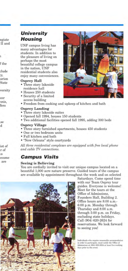# **University Housing**

UNF campus living has many advantages for students. In addition to the pleasure of living on perhaps the most beautiful college campus in the nation, UNF residential students also enjoy many conveniences.

#### **Osprey Hall**

- Three story lakeside residence hall
- Houses 250 students
- Security of a limited access building
- Freedom from cooking and upkeep of kitchen and bath

### **Osprey Landing**

- Three story lakeside suites
- Opened fall 1994, houses 150 students
- Two additional facilities opened fall 1995, adding 300 beds

### **Osprey Village**

- Three story furnished apartments, houses 450 students
- One or two bedroom units
- Full kitchen and bath
- "New Orleans" style courtyards

*All three residential complexes are equipped with free local phone and cable TV connections.* 

# **Campus Visits**

#### **Seeing is Believing**

You are cordially invited to visit our unique campus located on a beautiful 1,000 acre nature preserve. Guided tours of the campus are available by appointment throughout the week and on selected



Saturdays. Come spend time with our Team Osprey tour guides. Everyone is welcome! Meet for the tours at the Office of Admissions, Founders Hall, Building 2. Office hours are 8:00 a.m.- 6:00 p.m. Monday through Thursday and 8:00 a.m. through 5:00 p.m. on Friday, excluding state holidays. Call (904) 620-2624 for reservations. We look forward to seeing you!

Individuals who require reasonable accommodation in order to participate, must notify the Office of Admissions at (904) 620-2624 at least five working days prior to the event.